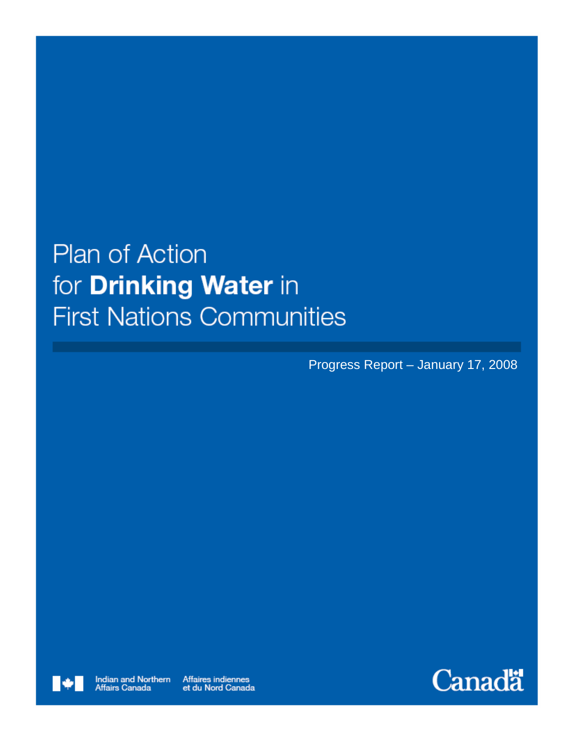# **Plan of Action** for **Drinking Water** in **First Nations Communities**

Progress Report – January 17, 2008



Affaires indiennes et du Nord Canada

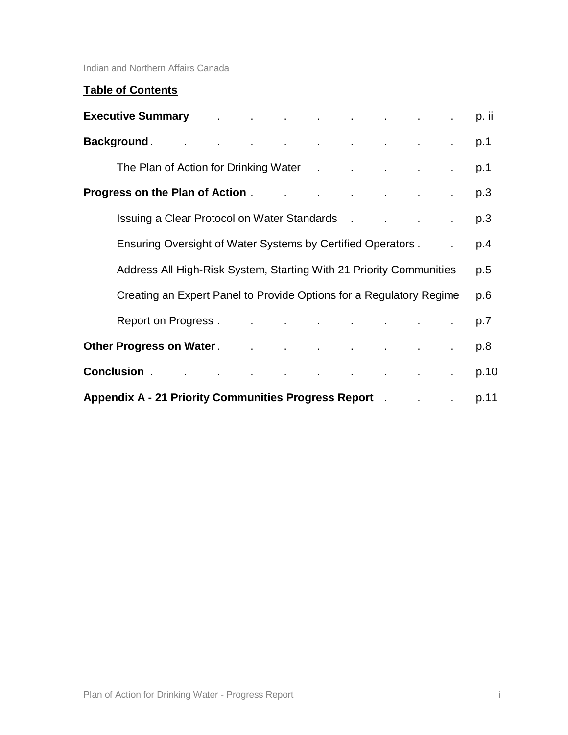Indian and Northern Affairs Canada

# **Table of Contents**

|                                                                                                                                                                                                                                     | Executive Summary Communication of the contract of the contract of the contract of the contract of the contract of the contract of the contract of the contract of the contract of the contract of the contract of the contrac |  |  |  |  |  |  |     | p. ii |
|-------------------------------------------------------------------------------------------------------------------------------------------------------------------------------------------------------------------------------------|--------------------------------------------------------------------------------------------------------------------------------------------------------------------------------------------------------------------------------|--|--|--|--|--|--|-----|-------|
|                                                                                                                                                                                                                                     | Background and the contract of the contract of the contract of the contract of the contract of the contract of                                                                                                                 |  |  |  |  |  |  |     | p.1   |
|                                                                                                                                                                                                                                     | The Plan of Action for Drinking Water . The Plan of Action for Drinking Water . The Review of the Plan of the                                                                                                                  |  |  |  |  |  |  |     | p.1   |
| <b>Progress on the Plan of Action</b> . The contract of the Plan of Action . The contract of the contract of the contra                                                                                                             |                                                                                                                                                                                                                                |  |  |  |  |  |  | p.3 |       |
|                                                                                                                                                                                                                                     | Issuing a Clear Protocol on Water Standards . The contract of the standards and the contract of the contract of the contract of the contract of the contract of the contract of the contract of the contract of the contract o |  |  |  |  |  |  |     | p.3   |
|                                                                                                                                                                                                                                     | Ensuring Oversight of Water Systems by Certified Operators.                                                                                                                                                                    |  |  |  |  |  |  |     | p.4   |
|                                                                                                                                                                                                                                     | Address All High-Risk System, Starting With 21 Priority Communities                                                                                                                                                            |  |  |  |  |  |  |     | p.5   |
|                                                                                                                                                                                                                                     | Creating an Expert Panel to Provide Options for a Regulatory Regime                                                                                                                                                            |  |  |  |  |  |  |     | p.6   |
|                                                                                                                                                                                                                                     | Report on Progress . The contract of the contract of the contract of the contract of the contract of the contract of the contract of the contract of the contract of the contract of the contract of the contract of the contr |  |  |  |  |  |  |     | p.7   |
|                                                                                                                                                                                                                                     | Other Progress on Water <b>Constitution Constitution</b> Constitution Constitution Constitution Constitution Constitu                                                                                                          |  |  |  |  |  |  |     | p.8   |
| <b>Conclusion Conclusion Conclusion Conclusion Conclusion Conclusion Conclusion Conclusion Conclusion</b>                                                                                                                           |                                                                                                                                                                                                                                |  |  |  |  |  |  |     | p.10  |
| <b>Appendix A - 21 Priority Communities Progress Report</b> . The contract of the setting of the setting and appearance of the setting of the setting of the setting of the setting of the setting of the setting of the setting of |                                                                                                                                                                                                                                |  |  |  |  |  |  |     | p.11  |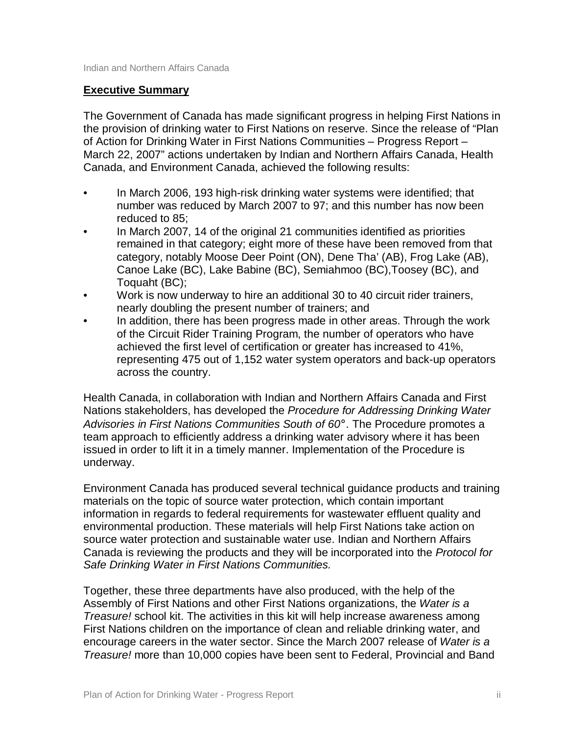#### **Executive Summary**

The Government of Canada has made significant progress in helping First Nations in the provision of drinking water to First Nations on reserve. Since the release of "Plan of Action for Drinking Water in First Nations Communities – Progress Report – March 22, 2007" actions undertaken by Indian and Northern Affairs Canada, Health Canada, and Environment Canada, achieved the following results:

- In March 2006, 193 high-risk drinking water systems were identified; that number was reduced by March 2007 to 97; and this number has now been reduced to 85;
- In March 2007, 14 of the original 21 communities identified as priorities remained in that category; eight more of these have been removed from that category, notably Moose Deer Point (ON), Dene Tha' (AB), Frog Lake (AB), Canoe Lake (BC), Lake Babine (BC), Semiahmoo (BC),Toosey (BC), and Toquaht (BC);
- Work is now underway to hire an additional 30 to 40 circuit rider trainers, nearly doubling the present number of trainers; and
- In addition, there has been progress made in other areas. Through the work of the Circuit Rider Training Program, the number of operators who have achieved the first level of certification or greater has increased to 41%, representing 475 out of 1,152 water system operators and back-up operators across the country.

Health Canada, in collaboration with Indian and Northern Affairs Canada and First Nations stakeholders, has developed the *Procedure for Addressing Drinking Water Advisories in First Nations Communities South of 60°.* The Procedure promotes a team approach to efficiently address a drinking water advisory where it has been issued in order to lift it in a timely manner. Implementation of the Procedure is underway.

Environment Canada has produced several technical guidance products and training materials on the topic of source water protection, which contain important information in regards to federal requirements for wastewater effluent quality and environmental production. These materials will help First Nations take action on source water protection and sustainable water use. Indian and Northern Affairs Canada is reviewing the products and they will be incorporated into the *Protocol for Safe Drinking Water in First Nations Communities.*

Together, these three departments have also produced, with the help of the Assembly of First Nations and other First Nations organizations, the *Water is a Treasure!* school kit. The activities in this kit will help increase awareness among First Nations children on the importance of clean and reliable drinking water, and encourage careers in the water sector. Since the March 2007 release of *Water is a Treasure!* more than 10,000 copies have been sent to Federal, Provincial and Band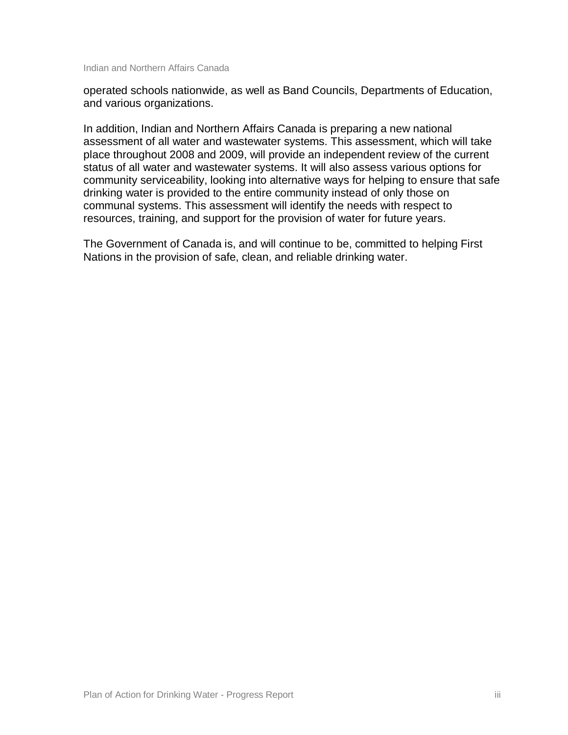Indian and Northern Affairs Canada

operated schools nationwide, as well as Band Councils, Departments of Education, and various organizations.

In addition, Indian and Northern Affairs Canada is preparing a new national assessment of all water and wastewater systems. This assessment, which will take place throughout 2008 and 2009, will provide an independent review of the current status of all water and wastewater systems. It will also assess various options for community serviceability, looking into alternative ways for helping to ensure that safe drinking water is provided to the entire community instead of only those on communal systems. This assessment will identify the needs with respect to resources, training, and support for the provision of water for future years.

The Government of Canada is, and will continue to be, committed to helping First Nations in the provision of safe, clean, and reliable drinking water.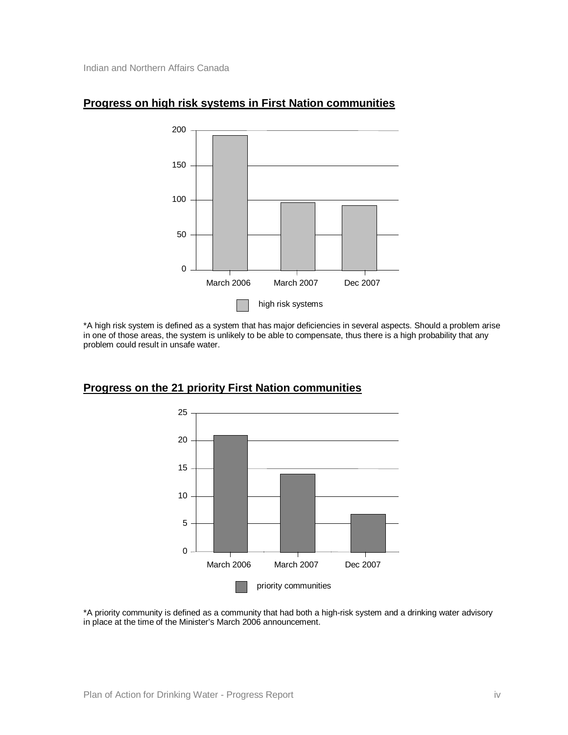

#### **Progress on high risk systems in First Nation communities**

\*A high risk system is defined as a system that has major deficiencies in several aspects. Should a problem arise in one of those areas, the system is unlikely to be able to compensate, thus there is a high probability that any problem could result in unsafe water.



#### **Progress on the 21 priority First Nation communities**

\*A priority community is defined as a community that had both a high-risk system and a drinking water advisory in place at the time of the Minister's March 2006 announcement.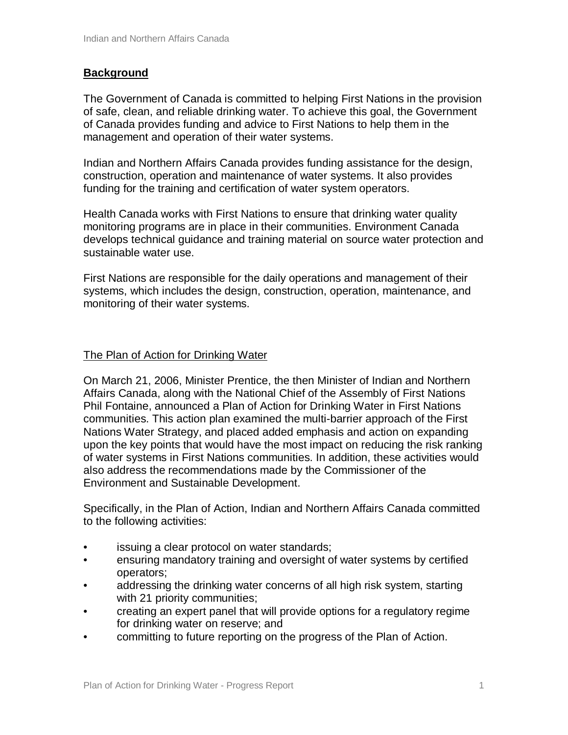#### **Background**

The Government of Canada is committed to helping First Nations in the provision of safe, clean, and reliable drinking water. To achieve this goal, the Government of Canada provides funding and advice to First Nations to help them in the management and operation of their water systems.

Indian and Northern Affairs Canada provides funding assistance for the design, construction, operation and maintenance of water systems. It also provides funding for the training and certification of water system operators.

Health Canada works with First Nations to ensure that drinking water quality monitoring programs are in place in their communities. Environment Canada develops technical guidance and training material on source water protection and sustainable water use.

First Nations are responsible for the daily operations and management of their systems, which includes the design, construction, operation, maintenance, and monitoring of their water systems.

#### The Plan of Action for Drinking Water

On March 21, 2006, Minister Prentice, the then Minister of Indian and Northern Affairs Canada, along with the National Chief of the Assembly of First Nations Phil Fontaine, announced a Plan of Action for Drinking Water in First Nations communities. This action plan examined the multi-barrier approach of the First Nations Water Strategy, and placed added emphasis and action on expanding upon the key points that would have the most impact on reducing the risk ranking of water systems in First Nations communities. In addition, these activities would also address the recommendations made by the Commissioner of the Environment and Sustainable Development.

Specifically, in the Plan of Action, Indian and Northern Affairs Canada committed to the following activities:

- issuing a clear protocol on water standards;
- ensuring mandatory training and oversight of water systems by certified operators;
- addressing the drinking water concerns of all high risk system, starting with 21 priority communities;
- creating an expert panel that will provide options for a regulatory regime for drinking water on reserve; and
- committing to future reporting on the progress of the Plan of Action.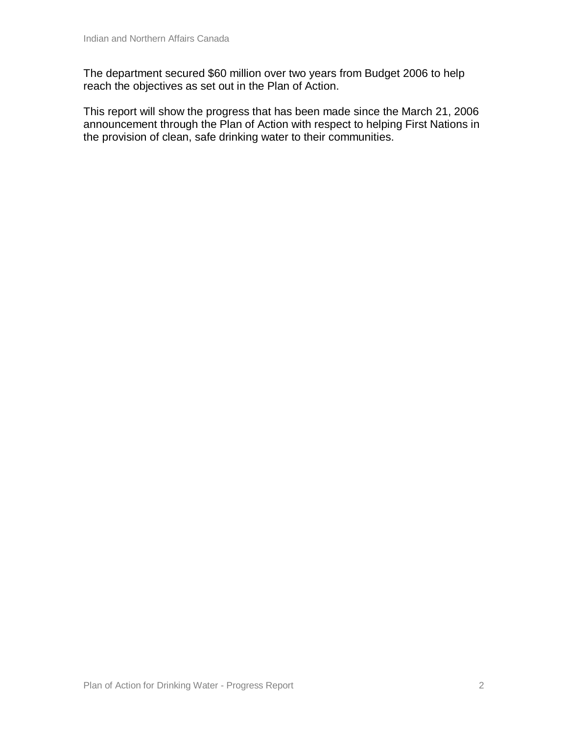The department secured \$60 million over two years from Budget 2006 to help reach the objectives as set out in the Plan of Action.

This report will show the progress that has been made since the March 21, 2006 announcement through the Plan of Action with respect to helping First Nations in the provision of clean, safe drinking water to their communities.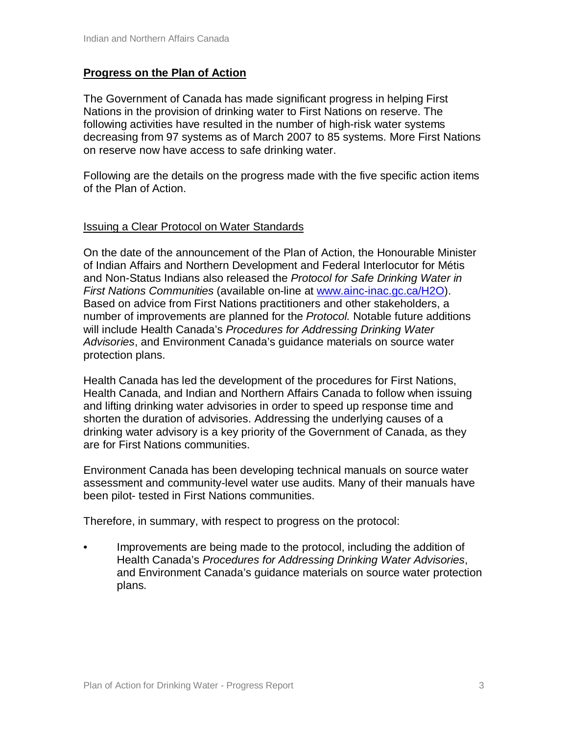#### **Progress on the Plan of Action**

The Government of Canada has made significant progress in helping First Nations in the provision of drinking water to First Nations on reserve. The following activities have resulted in the number of high-risk water systems decreasing from 97 systems as of March 2007 to 85 systems. More First Nations on reserve now have access to safe drinking water.

Following are the details on the progress made with the five specific action items of the Plan of Action.

#### Issuing a Clear Protocol on Water Standards

On the date of the announcement of the Plan of Action, the Honourable Minister of Indian Affairs and Northern Development and Federal Interlocutor for Métis and Non-Status Indians also released the *Protocol for Safe Drinking Water in First Nations Communities* (available on-line at [www.ainc-inac.gc.ca/H2O\).](http://www.ainc-inac.gc.ca/H2O).) Based on advice from First Nations practitioners and other stakeholders, a number of improvements are planned for the *Protocol.* Notable future additions will include Health Canada's *Procedures for Addressing Drinking Water Advisories*, and Environment Canada's guidance materials on source water protection plans.

Health Canada has led the development of the procedures for First Nations, Health Canada, and Indian and Northern Affairs Canada to follow when issuing and lifting drinking water advisories in order to speed up response time and shorten the duration of advisories. Addressing the underlying causes of a drinking water advisory is a key priority of the Government of Canada, as they are for First Nations communities.

Environment Canada has been developing technical manuals on source water assessment and community-level water use audits. Many of their manuals have been pilot- tested in First Nations communities.

Therefore, in summary, with respect to progress on the protocol:

• Improvements are being made to the protocol, including the addition of Health Canada's *Procedures for Addressing Drinking Water Advisories*, and Environment Canada's guidance materials on source water protection plans.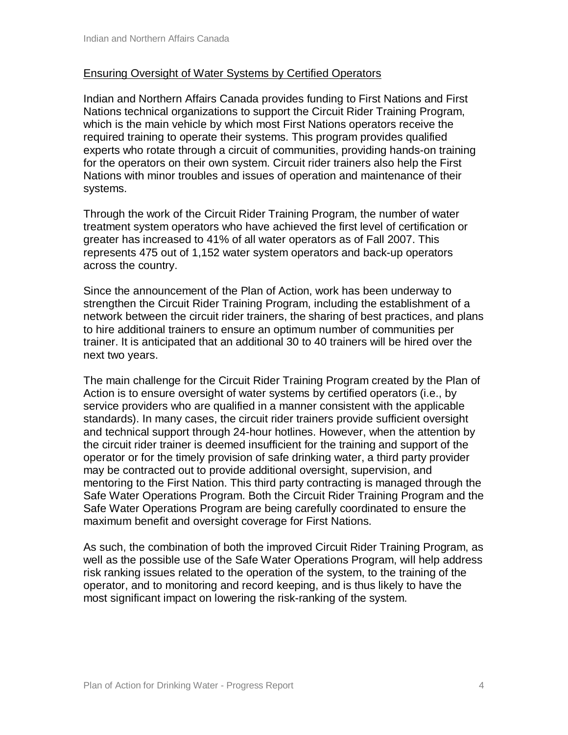#### Ensuring Oversight of Water Systems by Certified Operators

Indian and Northern Affairs Canada provides funding to First Nations and First Nations technical organizations to support the Circuit Rider Training Program, which is the main vehicle by which most First Nations operators receive the required training to operate their systems. This program provides qualified experts who rotate through a circuit of communities, providing hands-on training for the operators on their own system. Circuit rider trainers also help the First Nations with minor troubles and issues of operation and maintenance of their systems.

Through the work of the Circuit Rider Training Program, the number of water treatment system operators who have achieved the first level of certification or greater has increased to 41% of all water operators as of Fall 2007. This represents 475 out of 1,152 water system operators and back-up operators across the country.

Since the announcement of the Plan of Action, work has been underway to strengthen the Circuit Rider Training Program, including the establishment of a network between the circuit rider trainers, the sharing of best practices, and plans to hire additional trainers to ensure an optimum number of communities per trainer. It is anticipated that an additional 30 to 40 trainers will be hired over the next two years.

The main challenge for the Circuit Rider Training Program created by the Plan of Action is to ensure oversight of water systems by certified operators (i.e., by service providers who are qualified in a manner consistent with the applicable standards). In many cases, the circuit rider trainers provide sufficient oversight and technical support through 24-hour hotlines. However, when the attention by the circuit rider trainer is deemed insufficient for the training and support of the operator or for the timely provision of safe drinking water, a third party provider may be contracted out to provide additional oversight, supervision, and mentoring to the First Nation. This third party contracting is managed through the Safe Water Operations Program. Both the Circuit Rider Training Program and the Safe Water Operations Program are being carefully coordinated to ensure the maximum benefit and oversight coverage for First Nations.

As such, the combination of both the improved Circuit Rider Training Program, as well as the possible use of the Safe Water Operations Program, will help address risk ranking issues related to the operation of the system, to the training of the operator, and to monitoring and record keeping, and is thus likely to have the most significant impact on lowering the risk-ranking of the system.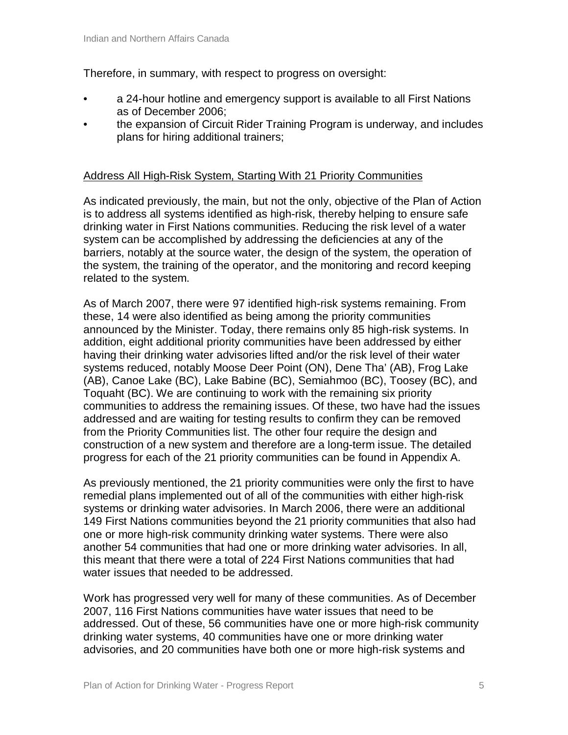Therefore, in summary, with respect to progress on oversight:

- a 24-hour hotline and emergency support is available to all First Nations as of December 2006;
- the expansion of Circuit Rider Training Program is underway, and includes plans for hiring additional trainers;

#### Address All High-Risk System, Starting With 21 Priority Communities

As indicated previously, the main, but not the only, objective of the Plan of Action is to address all systems identified as high-risk, thereby helping to ensure safe drinking water in First Nations communities. Reducing the risk level of a water system can be accomplished by addressing the deficiencies at any of the barriers, notably at the source water, the design of the system, the operation of the system, the training of the operator, and the monitoring and record keeping related to the system.

As of March 2007, there were 97 identified high-risk systems remaining. From these, 14 were also identified as being among the priority communities announced by the Minister. Today, there remains only 85 high-risk systems. In addition, eight additional priority communities have been addressed by either having their drinking water advisories lifted and/or the risk level of their water systems reduced, notably Moose Deer Point (ON), Dene Tha' (AB), Frog Lake (AB), Canoe Lake (BC), Lake Babine (BC), Semiahmoo (BC), Toosey (BC), and Toquaht (BC). We are continuing to work with the remaining six priority communities to address the remaining issues. Of these, two have had the issues addressed and are waiting for testing results to confirm they can be removed from the Priority Communities list. The other four require the design and construction of a new system and therefore are a long-term issue. The detailed progress for each of the 21 priority communities can be found in Appendix A.

As previously mentioned, the 21 priority communities were only the first to have remedial plans implemented out of all of the communities with either high-risk systems or drinking water advisories. In March 2006, there were an additional 149 First Nations communities beyond the 21 priority communities that also had one or more high-risk community drinking water systems. There were also another 54 communities that had one or more drinking water advisories. In all, this meant that there were a total of 224 First Nations communities that had water issues that needed to be addressed.

Work has progressed very well for many of these communities. As of December 2007, 116 First Nations communities have water issues that need to be addressed. Out of these, 56 communities have one or more high-risk community drinking water systems, 40 communities have one or more drinking water advisories, and 20 communities have both one or more high-risk systems and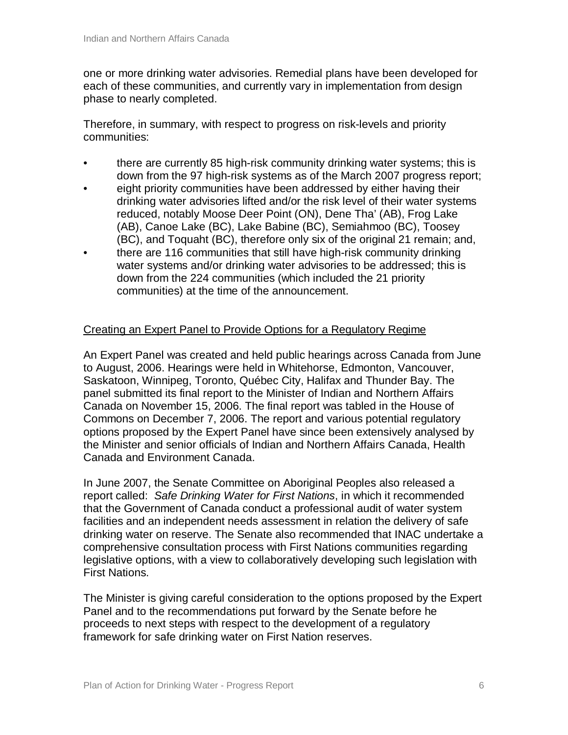one or more drinking water advisories. Remedial plans have been developed for each of these communities, and currently vary in implementation from design phase to nearly completed.

Therefore, in summary, with respect to progress on risk-levels and priority communities:

- there are currently 85 high-risk community drinking water systems; this is down from the 97 high-risk systems as of the March 2007 progress report;
- eight priority communities have been addressed by either having their drinking water advisories lifted and/or the risk level of their water systems reduced, notably Moose Deer Point (ON), Dene Tha' (AB), Frog Lake (AB), Canoe Lake (BC), Lake Babine (BC), Semiahmoo (BC), Toosey (BC), and Toquaht (BC), therefore only six of the original 21 remain; and,
- there are 116 communities that still have high-risk community drinking water systems and/or drinking water advisories to be addressed; this is down from the 224 communities (which included the 21 priority communities) at the time of the announcement.

#### Creating an Expert Panel to Provide Options for a Regulatory Regime

An Expert Panel was created and held public hearings across Canada from June to August, 2006. Hearings were held in Whitehorse, Edmonton, Vancouver, Saskatoon, Winnipeg, Toronto, Québec City, Halifax and Thunder Bay. The panel submitted its final report to the Minister of Indian and Northern Affairs Canada on November 15, 2006. The final report was tabled in the House of Commons on December 7, 2006. The report and various potential regulatory options proposed by the Expert Panel have since been extensively analysed by the Minister and senior officials of Indian and Northern Affairs Canada, Health Canada and Environment Canada.

In June 2007, the Senate Committee on Aboriginal Peoples also released a report called: *Safe Drinking Water for First Nations*, in which it recommended that the Government of Canada conduct a professional audit of water system facilities and an independent needs assessment in relation the delivery of safe drinking water on reserve. The Senate also recommended that INAC undertake a comprehensive consultation process with First Nations communities regarding legislative options, with a view to collaboratively developing such legislation with First Nations.

The Minister is giving careful consideration to the options proposed by the Expert Panel and to the recommendations put forward by the Senate before he proceeds to next steps with respect to the development of a regulatory framework for safe drinking water on First Nation reserves.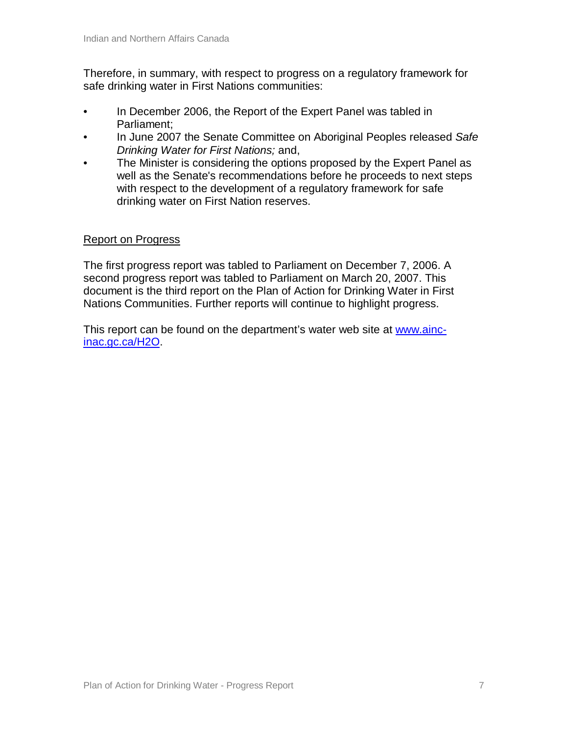Therefore, in summary, with respect to progress on a regulatory framework for safe drinking water in First Nations communities:

- In December 2006, the Report of the Expert Panel was tabled in Parliament;
- In June 2007 the Senate Committee on Aboriginal Peoples released *Safe Drinking Water for First Nations;* and,
- The Minister is considering the options proposed by the Expert Panel as well as the Senate's recommendations before he proceeds to next steps with respect to the development of a regulatory framework for safe drinking water on First Nation reserves.

#### Report on Progress

The first progress report was tabled to Parliament on December 7, 2006. A second progress report was tabled to Parliament on March 20, 2007. This document is the third report on the Plan of Action for Drinking Water in First Nations Communities. Further reports will continue to highlight progress.

This report can be found on the department's water web site at www.aincinac.gc.ca/H2O.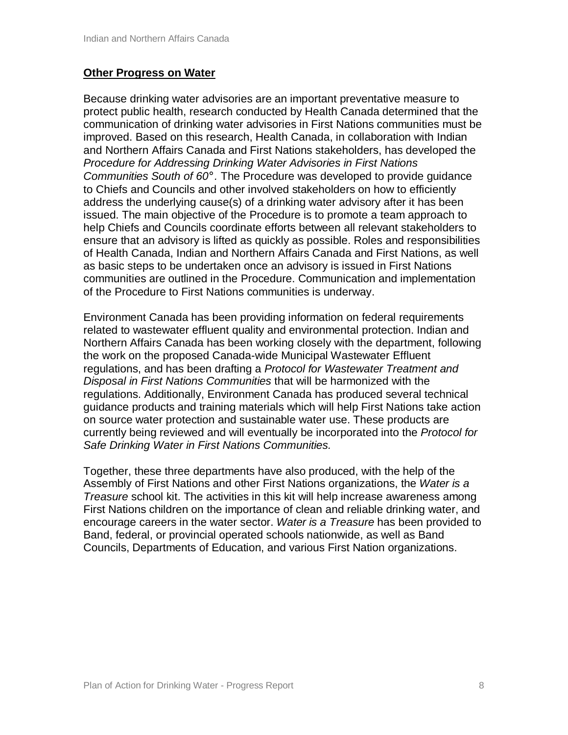#### **Other Progress on Water**

Because drinking water advisories are an important preventative measure to protect public health, research conducted by Health Canada determined that the communication of drinking water advisories in First Nations communities must be improved. Based on this research, Health Canada, in collaboration with Indian and Northern Affairs Canada and First Nations stakeholders, has developed the *Procedure for Addressing Drinking Water Advisories in First Nations Communities South of 60°.* The Procedure was developed to provide guidance to Chiefs and Councils and other involved stakeholders on how to efficiently address the underlying cause(s) of a drinking water advisory after it has been issued. The main objective of the Procedure is to promote a team approach to help Chiefs and Councils coordinate efforts between all relevant stakeholders to ensure that an advisory is lifted as quickly as possible. Roles and responsibilities of Health Canada, Indian and Northern Affairs Canada and First Nations, as well as basic steps to be undertaken once an advisory is issued in First Nations communities are outlined in the Procedure. Communication and implementation of the Procedure to First Nations communities is underway.

Environment Canada has been providing information on federal requirements related to wastewater effluent quality and environmental protection. Indian and Northern Affairs Canada has been working closely with the department, following the work on the proposed Canada-wide Municipal Wastewater Effluent regulations, and has been drafting a *Protocol for Wastewater Treatment and Disposal in First Nations Communities* that will be harmonized with the regulations. Additionally, Environment Canada has produced several technical guidance products and training materials which will help First Nations take action on source water protection and sustainable water use. These products are currently being reviewed and will eventually be incorporated into the *Protocol for Safe Drinking Water in First Nations Communities.*

Together, these three departments have also produced, with the help of the Assembly of First Nations and other First Nations organizations, the *Water is a Treasure* school kit. The activities in this kit will help increase awareness among First Nations children on the importance of clean and reliable drinking water, and encourage careers in the water sector. *Water is a Treasure* has been provided to Band, federal, or provincial operated schools nationwide, as well as Band Councils, Departments of Education, and various First Nation organizations.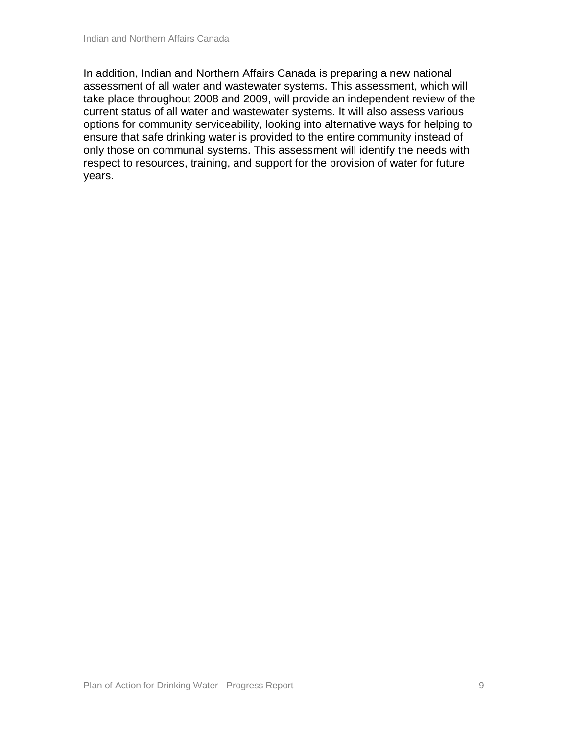In addition, Indian and Northern Affairs Canada is preparing a new national assessment of all water and wastewater systems. This assessment, which will take place throughout 2008 and 2009, will provide an independent review of the current status of all water and wastewater systems. It will also assess various options for community serviceability, looking into alternative ways for helping to ensure that safe drinking water is provided to the entire community instead of only those on communal systems. This assessment will identify the needs with respect to resources, training, and support for the provision of water for future years.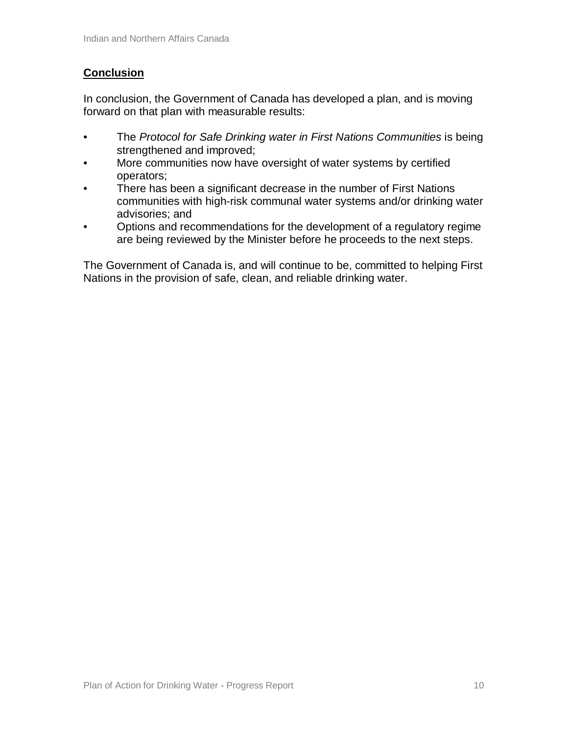# **Conclusion**

In conclusion, the Government of Canada has developed a plan, and is moving forward on that plan with measurable results:

- The *Protocol for Safe Drinking water in First Nations Communities* is being strengthened and improved;
- More communities now have oversight of water systems by certified operators;
- There has been a significant decrease in the number of First Nations communities with high-risk communal water systems and/or drinking water advisories; and
- Options and recommendations for the development of a regulatory regime are being reviewed by the Minister before he proceeds to the next steps.

The Government of Canada is, and will continue to be, committed to helping First Nations in the provision of safe, clean, and reliable drinking water.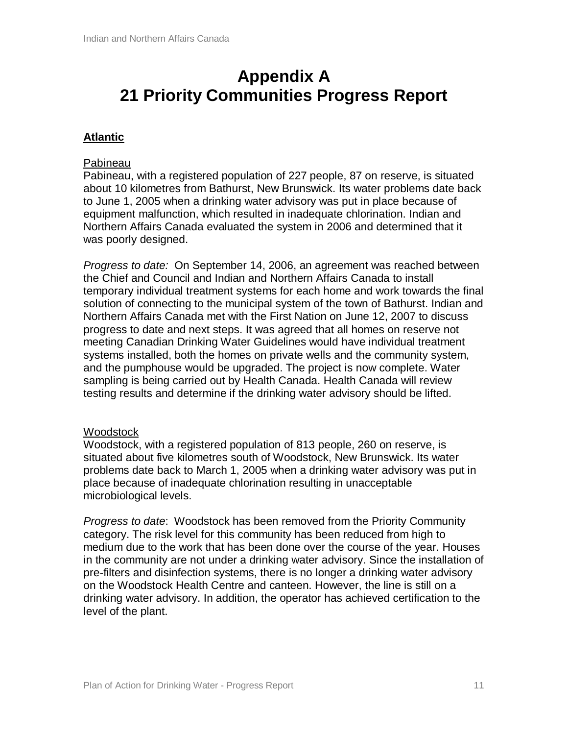# **Appendix A 21 Priority Communities Progress Report**

# **Atlantic**

#### Pabineau

Pabineau, with a registered population of 227 people, 87 on reserve, is situated about 10 kilometres from Bathurst, New Brunswick. Its water problems date back to June 1, 2005 when a drinking water advisory was put in place because of equipment malfunction, which resulted in inadequate chlorination. Indian and Northern Affairs Canada evaluated the system in 2006 and determined that it was poorly designed.

*Progress to date:* On September 14, 2006, an agreement was reached between the Chief and Council and Indian and Northern Affairs Canada to install temporary individual treatment systems for each home and work towards the final solution of connecting to the municipal system of the town of Bathurst. Indian and Northern Affairs Canada met with the First Nation on June 12, 2007 to discuss progress to date and next steps. It was agreed that all homes on reserve not meeting Canadian Drinking Water Guidelines would have individual treatment systems installed, both the homes on private wells and the community system, and the pumphouse would be upgraded. The project is now complete. Water sampling is being carried out by Health Canada. Health Canada will review testing results and determine if the drinking water advisory should be lifted.

#### **Woodstock**

Woodstock, with a registered population of 813 people, 260 on reserve, is situated about five kilometres south of Woodstock, New Brunswick. Its water problems date back to March 1, 2005 when a drinking water advisory was put in place because of inadequate chlorination resulting in unacceptable microbiological levels.

*Progress to date*: Woodstock has been removed from the Priority Community category. The risk level for this community has been reduced from high to medium due to the work that has been done over the course of the year. Houses in the community are not under a drinking water advisory. Since the installation of pre-filters and disinfection systems, there is no longer a drinking water advisory on the Woodstock Health Centre and canteen. However, the line is still on a drinking water advisory. In addition, the operator has achieved certification to the level of the plant.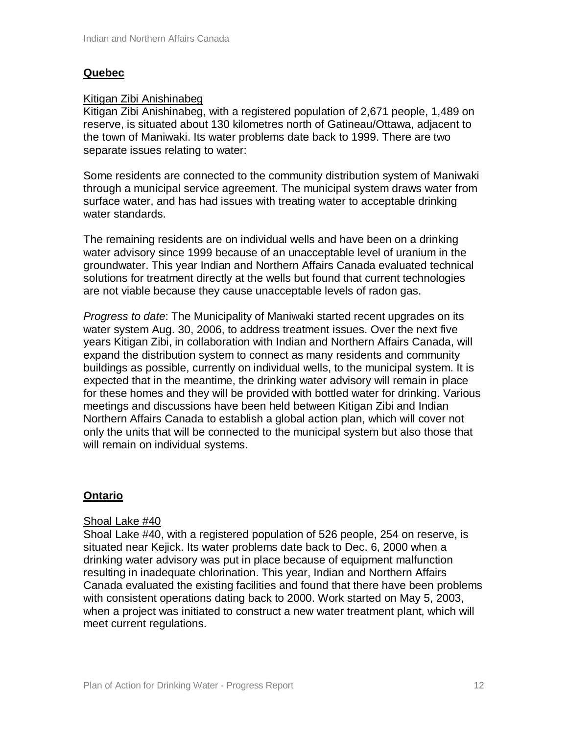# **Quebec**

#### Kitigan Zibi Anishinabeg

Kitigan Zibi Anishinabeg, with a registered population of 2,671 people, 1,489 on reserve, is situated about 130 kilometres north of Gatineau/Ottawa, adjacent to the town of Maniwaki. Its water problems date back to 1999. There are two separate issues relating to water:

Some residents are connected to the community distribution system of Maniwaki through a municipal service agreement. The municipal system draws water from surface water, and has had issues with treating water to acceptable drinking water standards.

The remaining residents are on individual wells and have been on a drinking water advisory since 1999 because of an unacceptable level of uranium in the groundwater. This year Indian and Northern Affairs Canada evaluated technical solutions for treatment directly at the wells but found that current technologies are not viable because they cause unacceptable levels of radon gas.

*Progress to date*: The Municipality of Maniwaki started recent upgrades on its water system Aug. 30, 2006, to address treatment issues. Over the next five years Kitigan Zibi, in collaboration with Indian and Northern Affairs Canada, will expand the distribution system to connect as many residents and community buildings as possible, currently on individual wells, to the municipal system. It is expected that in the meantime, the drinking water advisory will remain in place for these homes and they will be provided with bottled water for drinking. Various meetings and discussions have been held between Kitigan Zibi and Indian Northern Affairs Canada to establish a global action plan, which will cover not only the units that will be connected to the municipal system but also those that will remain on individual systems.

#### **Ontario**

#### Shoal Lake #40

Shoal Lake #40, with a registered population of 526 people, 254 on reserve, is situated near Kejick. Its water problems date back to Dec. 6, 2000 when a drinking water advisory was put in place because of equipment malfunction resulting in inadequate chlorination. This year, Indian and Northern Affairs Canada evaluated the existing facilities and found that there have been problems with consistent operations dating back to 2000. Work started on May 5, 2003, when a project was initiated to construct a new water treatment plant, which will meet current regulations.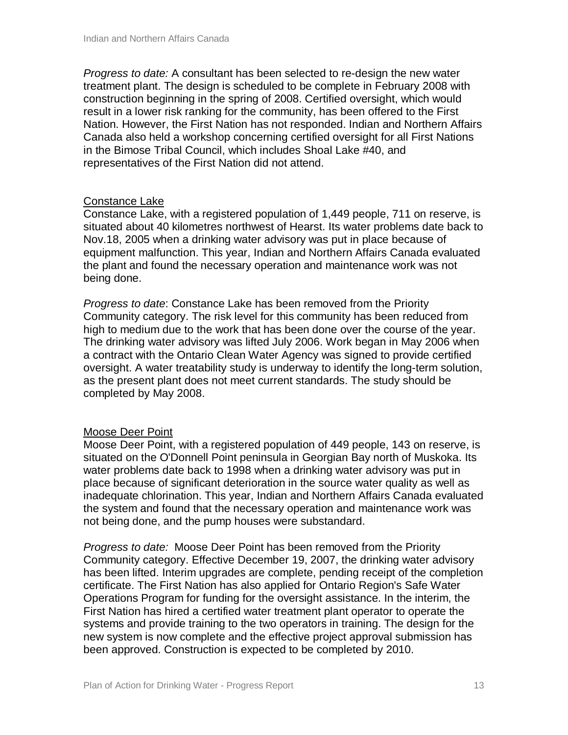*Progress to date:* A consultant has been selected to re-design the new water treatment plant. The design is scheduled to be complete in February 2008 with construction beginning in the spring of 2008. Certified oversight, which would result in a lower risk ranking for the community, has been offered to the First Nation. However, the First Nation has not responded. Indian and Northern Affairs Canada also held a workshop concerning certified oversight for all First Nations in the Bimose Tribal Council, which includes Shoal Lake #40, and representatives of the First Nation did not attend.

#### Constance Lake

Constance Lake, with a registered population of 1,449 people, 711 on reserve, is situated about 40 kilometres northwest of Hearst. Its water problems date back to Nov.18, 2005 when a drinking water advisory was put in place because of equipment malfunction. This year, Indian and Northern Affairs Canada evaluated the plant and found the necessary operation and maintenance work was not being done.

*Progress to date*: Constance Lake has been removed from the Priority Community category. The risk level for this community has been reduced from high to medium due to the work that has been done over the course of the year. The drinking water advisory was lifted July 2006. Work began in May 2006 when a contract with the Ontario Clean Water Agency was signed to provide certified oversight. A water treatability study is underway to identify the long-term solution, as the present plant does not meet current standards. The study should be completed by May 2008.

#### Moose Deer Point

Moose Deer Point, with a registered population of 449 people, 143 on reserve, is situated on the O'Donnell Point peninsula in Georgian Bay north of Muskoka. Its water problems date back to 1998 when a drinking water advisory was put in place because of significant deterioration in the source water quality as well as inadequate chlorination. This year, Indian and Northern Affairs Canada evaluated the system and found that the necessary operation and maintenance work was not being done, and the pump houses were substandard.

*Progress to date:* Moose Deer Point has been removed from the Priority Community category. Effective December 19, 2007, the drinking water advisory has been lifted. Interim upgrades are complete, pending receipt of the completion certificate. The First Nation has also applied for Ontario Region's Safe Water Operations Program for funding for the oversight assistance. In the interim, the First Nation has hired a certified water treatment plant operator to operate the systems and provide training to the two operators in training. The design for the new system is now complete and the effective project approval submission has been approved. Construction is expected to be completed by 2010.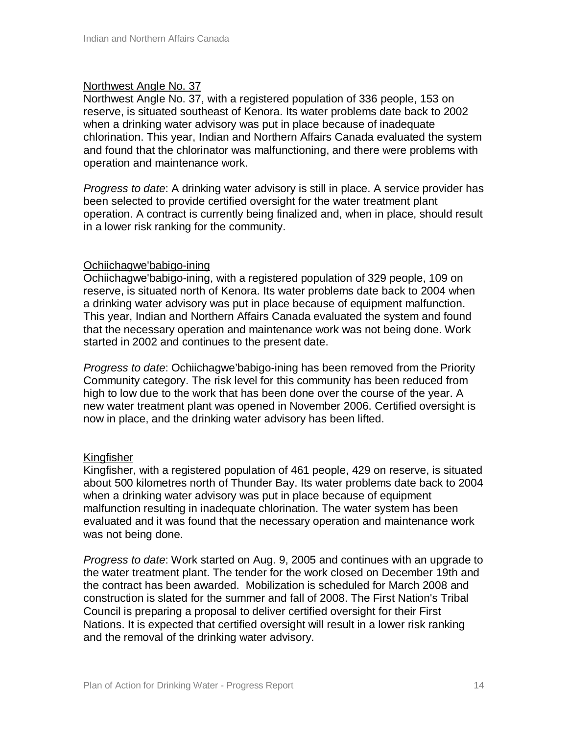#### Northwest Angle No. 37

Northwest Angle No. 37, with a registered population of 336 people, 153 on reserve, is situated southeast of Kenora. Its water problems date back to 2002 when a drinking water advisory was put in place because of inadequate chlorination. This year, Indian and Northern Affairs Canada evaluated the system and found that the chlorinator was malfunctioning, and there were problems with operation and maintenance work.

*Progress to date*: A drinking water advisory is still in place. A service provider has been selected to provide certified oversight for the water treatment plant operation. A contract is currently being finalized and, when in place, should result in a lower risk ranking for the community.

#### Ochiichagwe'babigo-ining

Ochiichagwe'babigo-ining, with a registered population of 329 people, 109 on reserve, is situated north of Kenora. Its water problems date back to 2004 when a drinking water advisory was put in place because of equipment malfunction. This year, Indian and Northern Affairs Canada evaluated the system and found that the necessary operation and maintenance work was not being done. Work started in 2002 and continues to the present date.

*Progress to date*: Ochiichagwe'babigo-ining has been removed from the Priority Community category. The risk level for this community has been reduced from high to low due to the work that has been done over the course of the year. A new water treatment plant was opened in November 2006. Certified oversight is now in place, and the drinking water advisory has been lifted.

#### Kingfisher

Kingfisher, with a registered population of 461 people, 429 on reserve, is situated about 500 kilometres north of Thunder Bay. Its water problems date back to 2004 when a drinking water advisory was put in place because of equipment malfunction resulting in inadequate chlorination. The water system has been evaluated and it was found that the necessary operation and maintenance work was not being done.

*Progress to date*: Work started on Aug. 9, 2005 and continues with an upgrade to the water treatment plant. The tender for the work closed on December 19th and the contract has been awarded. Mobilization is scheduled for March 2008 and construction is slated for the summer and fall of 2008. The First Nation's Tribal Council is preparing a proposal to deliver certified oversight for their First Nations. It is expected that certified oversight will result in a lower risk ranking and the removal of the drinking water advisory.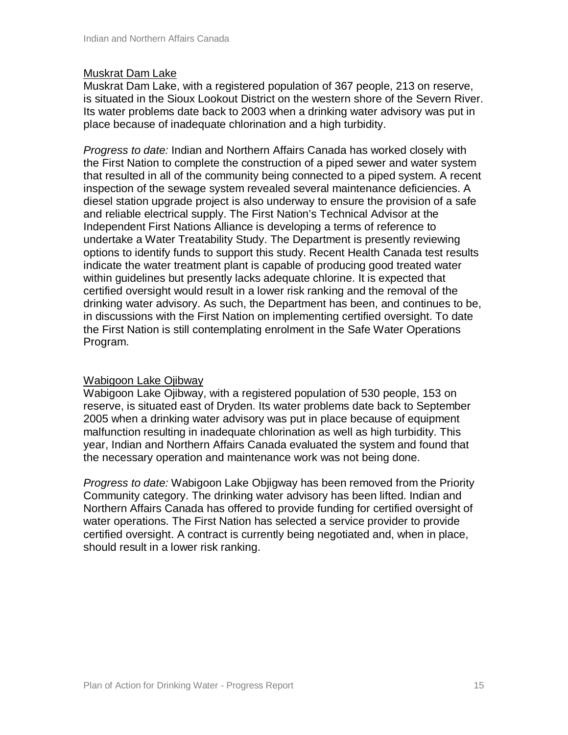#### Muskrat Dam Lake

Muskrat Dam Lake, with a registered population of 367 people, 213 on reserve, is situated in the Sioux Lookout District on the western shore of the Severn River. Its water problems date back to 2003 when a drinking water advisory was put in place because of inadequate chlorination and a high turbidity.

*Progress to date:* Indian and Northern Affairs Canada has worked closely with the First Nation to complete the construction of a piped sewer and water system that resulted in all of the community being connected to a piped system. A recent inspection of the sewage system revealed several maintenance deficiencies. A diesel station upgrade project is also underway to ensure the provision of a safe and reliable electrical supply. The First Nation's Technical Advisor at the Independent First Nations Alliance is developing a terms of reference to undertake a Water Treatability Study. The Department is presently reviewing options to identify funds to support this study. Recent Health Canada test results indicate the water treatment plant is capable of producing good treated water within guidelines but presently lacks adequate chlorine. It is expected that certified oversight would result in a lower risk ranking and the removal of the drinking water advisory. As such, the Department has been, and continues to be, in discussions with the First Nation on implementing certified oversight. To date the First Nation is still contemplating enrolment in the Safe Water Operations Program.

#### Wabigoon Lake Ojibway

Wabigoon Lake Ojibway, with a registered population of 530 people, 153 on reserve, is situated east of Dryden. Its water problems date back to September 2005 when a drinking water advisory was put in place because of equipment malfunction resulting in inadequate chlorination as well as high turbidity. This year, Indian and Northern Affairs Canada evaluated the system and found that the necessary operation and maintenance work was not being done.

*Progress to date:* Wabigoon Lake Objigway has been removed from the Priority Community category. The drinking water advisory has been lifted. Indian and Northern Affairs Canada has offered to provide funding for certified oversight of water operations. The First Nation has selected a service provider to provide certified oversight. A contract is currently being negotiated and, when in place, should result in a lower risk ranking.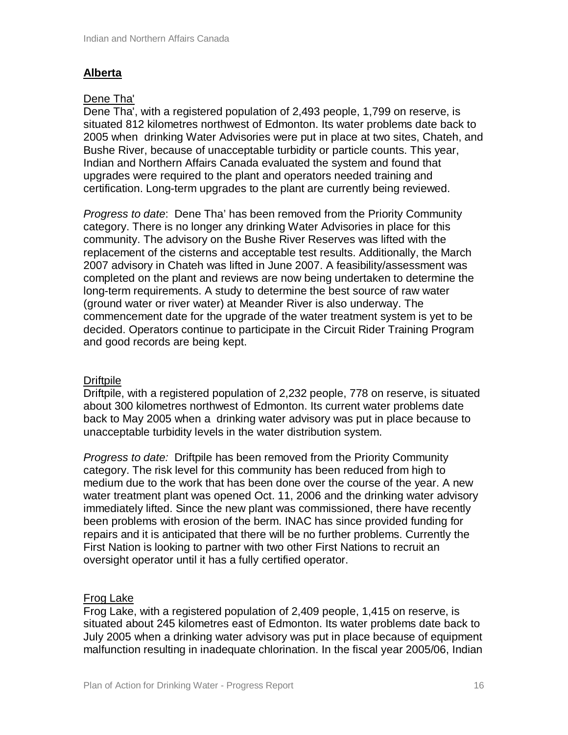# **Alberta**

#### Dene Tha'

Dene Tha', with a registered population of 2,493 people, 1,799 on reserve, is situated 812 kilometres northwest of Edmonton. Its water problems date back to 2005 when drinking Water Advisories were put in place at two sites, Chateh, and Bushe River, because of unacceptable turbidity or particle counts. This year, Indian and Northern Affairs Canada evaluated the system and found that upgrades were required to the plant and operators needed training and certification. Long-term upgrades to the plant are currently being reviewed.

*Progress to date*: Dene Tha' has been removed from the Priority Community category. There is no longer any drinking Water Advisories in place for this community. The advisory on the Bushe River Reserves was lifted with the replacement of the cisterns and acceptable test results. Additionally, the March 2007 advisory in Chateh was lifted in June 2007. A feasibility/assessment was completed on the plant and reviews are now being undertaken to determine the long-term requirements. A study to determine the best source of raw water (ground water or river water) at Meander River is also underway. The commencement date for the upgrade of the water treatment system is yet to be decided. Operators continue to participate in the Circuit Rider Training Program and good records are being kept.

#### Driftpile

Driftpile, with a registered population of 2,232 people, 778 on reserve, is situated about 300 kilometres northwest of Edmonton. Its current water problems date back to May 2005 when a drinking water advisory was put in place because to unacceptable turbidity levels in the water distribution system.

*Progress to date:* Driftpile has been removed from the Priority Community category. The risk level for this community has been reduced from high to medium due to the work that has been done over the course of the year. A new water treatment plant was opened Oct. 11, 2006 and the drinking water advisory immediately lifted. Since the new plant was commissioned, there have recently been problems with erosion of the berm. INAC has since provided funding for repairs and it is anticipated that there will be no further problems. Currently the First Nation is looking to partner with two other First Nations to recruit an oversight operator until it has a fully certified operator.

#### Frog Lake

Frog Lake, with a registered population of 2,409 people, 1,415 on reserve, is situated about 245 kilometres east of Edmonton. Its water problems date back to July 2005 when a drinking water advisory was put in place because of equipment malfunction resulting in inadequate chlorination. In the fiscal year 2005/06, Indian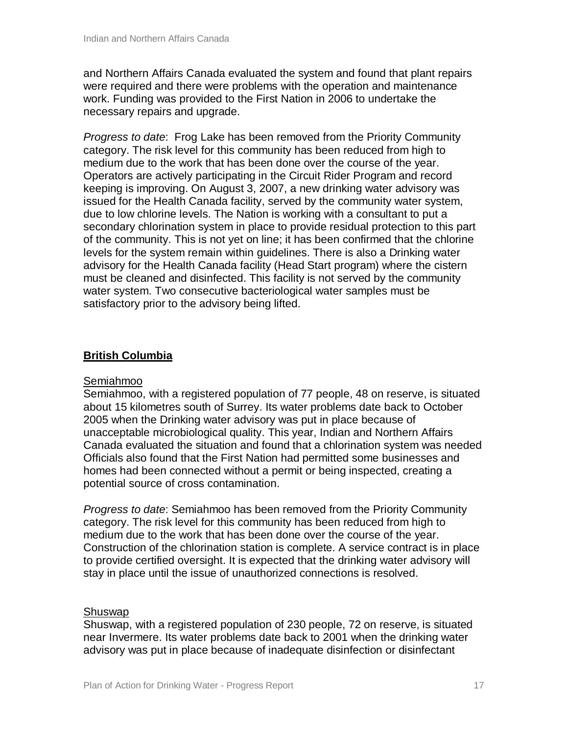and Northern Affairs Canada evaluated the system and found that plant repairs were required and there were problems with the operation and maintenance work. Funding was provided to the First Nation in 2006 to undertake the necessary repairs and upgrade.

*Progress to date*: Frog Lake has been removed from the Priority Community category. The risk level for this community has been reduced from high to medium due to the work that has been done over the course of the year. Operators are actively participating in the Circuit Rider Program and record keeping is improving. On August 3, 2007, a new drinking water advisory was issued for the Health Canada facility, served by the community water system, due to low chlorine levels. The Nation is working with a consultant to put a secondary chlorination system in place to provide residual protection to this part of the community. This is not yet on line; it has been confirmed that the chlorine levels for the system remain within guidelines. There is also a Drinking water advisory for the Health Canada facility (Head Start program) where the cistern must be cleaned and disinfected. This facility is not served by the community water system. Two consecutive bacteriological water samples must be satisfactory prior to the advisory being lifted.

# **British Columbia**

#### Semiahmoo

Semiahmoo, with a registered population of 77 people, 48 on reserve, is situated about 15 kilometres south of Surrey. Its water problems date back to October 2005 when the Drinking water advisory was put in place because of unacceptable microbiological quality. This year, Indian and Northern Affairs Canada evaluated the situation and found that a chlorination system was needed Officials also found that the First Nation had permitted some businesses and homes had been connected without a permit or being inspected, creating a potential source of cross contamination.

*Progress to date*: Semiahmoo has been removed from the Priority Community category. The risk level for this community has been reduced from high to medium due to the work that has been done over the course of the year. Construction of the chlorination station is complete. A service contract is in place to provide certified oversight. It is expected that the drinking water advisory will stay in place until the issue of unauthorized connections is resolved.

#### Shuswap

Shuswap, with a registered population of 230 people, 72 on reserve, is situated near Invermere. Its water problems date back to 2001 when the drinking water advisory was put in place because of inadequate disinfection or disinfectant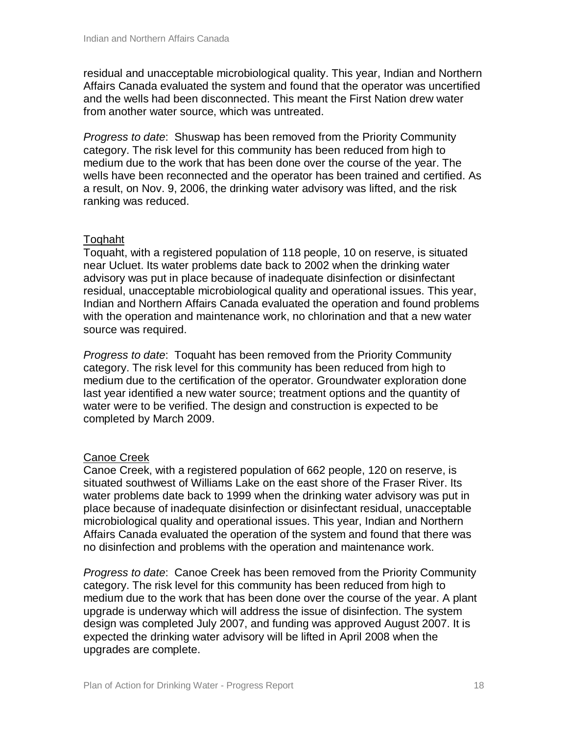residual and unacceptable microbiological quality. This year, Indian and Northern Affairs Canada evaluated the system and found that the operator was uncertified and the wells had been disconnected. This meant the First Nation drew water from another water source, which was untreated.

*Progress to date*: Shuswap has been removed from the Priority Community category. The risk level for this community has been reduced from high to medium due to the work that has been done over the course of the year. The wells have been reconnected and the operator has been trained and certified. As a result, on Nov. 9, 2006, the drinking water advisory was lifted, and the risk ranking was reduced.

# Toqhaht

Toquaht, with a registered population of 118 people, 10 on reserve, is situated near Ucluet. Its water problems date back to 2002 when the drinking water advisory was put in place because of inadequate disinfection or disinfectant residual, unacceptable microbiological quality and operational issues. This year, Indian and Northern Affairs Canada evaluated the operation and found problems with the operation and maintenance work, no chlorination and that a new water source was required.

*Progress to date*: Toquaht has been removed from the Priority Community category. The risk level for this community has been reduced from high to medium due to the certification of the operator. Groundwater exploration done last year identified a new water source; treatment options and the quantity of water were to be verified. The design and construction is expected to be completed by March 2009.

# Canoe Creek

Canoe Creek, with a registered population of 662 people, 120 on reserve, is situated southwest of Williams Lake on the east shore of the Fraser River. Its water problems date back to 1999 when the drinking water advisory was put in place because of inadequate disinfection or disinfectant residual, unacceptable microbiological quality and operational issues. This year, Indian and Northern Affairs Canada evaluated the operation of the system and found that there was no disinfection and problems with the operation and maintenance work.

*Progress to date*: Canoe Creek has been removed from the Priority Community category. The risk level for this community has been reduced from high to medium due to the work that has been done over the course of the year. A plant upgrade is underway which will address the issue of disinfection. The system design was completed July 2007, and funding was approved August 2007. It is expected the drinking water advisory will be lifted in April 2008 when the upgrades are complete.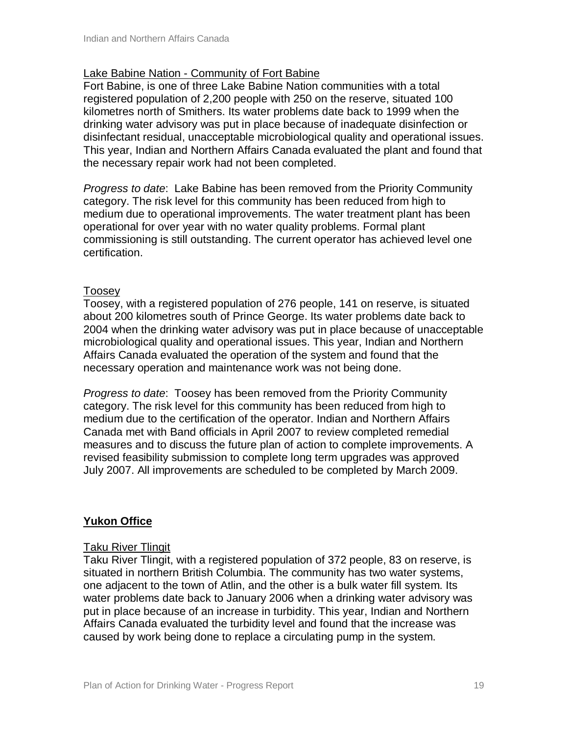#### Lake Babine Nation - Community of Fort Babine

Fort Babine, is one of three Lake Babine Nation communities with a total registered population of 2,200 people with 250 on the reserve, situated 100 kilometres north of Smithers. Its water problems date back to 1999 when the drinking water advisory was put in place because of inadequate disinfection or disinfectant residual, unacceptable microbiological quality and operational issues. This year, Indian and Northern Affairs Canada evaluated the plant and found that the necessary repair work had not been completed.

*Progress to date*: Lake Babine has been removed from the Priority Community category. The risk level for this community has been reduced from high to medium due to operational improvements. The water treatment plant has been operational for over year with no water quality problems. Formal plant commissioning is still outstanding. The current operator has achieved level one certification.

#### Toosey

Toosey, with a registered population of 276 people, 141 on reserve, is situated about 200 kilometres south of Prince George. Its water problems date back to 2004 when the drinking water advisory was put in place because of unacceptable microbiological quality and operational issues. This year, Indian and Northern Affairs Canada evaluated the operation of the system and found that the necessary operation and maintenance work was not being done.

*Progress to date*: Toosey has been removed from the Priority Community category. The risk level for this community has been reduced from high to medium due to the certification of the operator. Indian and Northern Affairs Canada met with Band officials in April 2007 to review completed remedial measures and to discuss the future plan of action to complete improvements. A revised feasibility submission to complete long term upgrades was approved July 2007. All improvements are scheduled to be completed by March 2009.

#### **Yukon Office**

#### Taku River Tlingit

Taku River Tlingit, with a registered population of 372 people, 83 on reserve, is situated in northern British Columbia. The community has two water systems, one adjacent to the town of Atlin, and the other is a bulk water fill system. Its water problems date back to January 2006 when a drinking water advisory was put in place because of an increase in turbidity. This year, Indian and Northern Affairs Canada evaluated the turbidity level and found that the increase was caused by work being done to replace a circulating pump in the system.